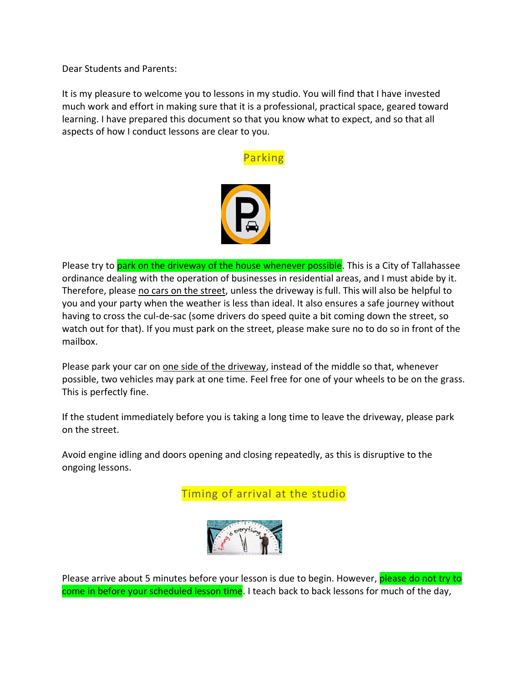Dear Students and Parents:

It is my pleasure to welcome you to lessons in my studio. You will find that I have invested much work and effort in making sure that it is a professional, practical space, geared toward learning. I have prepared this document so that you know what to expect, and so that all aspects of how I conduct lessons are clear to you.

## Parking



Please try to park on the driveway of the house whenever possible. This is a City of Tallahassee ordinance dealing with the operation of businesses in residential areas, and I must abide by it. Therefore, please no cars on the street, unless the driveway is full. This will also be helpful to you and your party when the weather [is le](https://creativecommons.org/licenses/by/3.0/)s[s than](https://creativecommons.org/licenses/by/3.0/) ideal. It also ensures a safe journey without having to cross the cul-de-sac (some drivers do speed quite a bit coming down the street, so watch out for that). If you must park on the street, please make sure no to do so in front of the mailbox.

Please park your car on one side of the driveway, instead of the middle so that, whenever possible, two vehicles may park at one time. Feel free for one of your wheels to be on the grass. This is perfectly fine.

If the student immediately before you is taking a long time to leave the driveway, please park on the street.

Avoid engine idling and doors opening and closing repeatedly, as this is disruptive to the ongoing lessons.

Timing of arrival at the studio



Please arrive about 5 minutes before your less[on is](https://creativecommons.org/licenses/by-nc-nd/3.0/) due to begin. However, please do not try to come in before your scheduled less[on time.](https://creativecommons.org/licenses/by-nc-nd/3.0/) I teach back to back lessons for much of the day,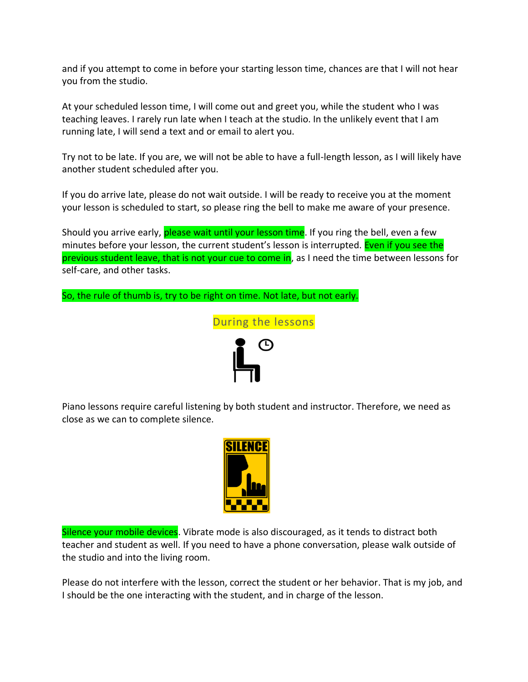and if you attempt to come in before your starting lesson time, chances are that I will not hear you from the studio.

At your scheduled lesson time, I will come out and greet you, while the student who I was teaching leaves. I rarely run late when I teach at the studio. In the unlikely event that I am running late, I will send a text and or email to alert you.

Try not to be late. If you are, we will not be able to have a full-length lesson, as I will likely have another student scheduled after you.

If you do arrive late, please do not wait outside. I will be ready to receive you at the moment your lesson is scheduled to start, so please ring the bell to make me aware of your presence.

Should you arrive early, please wait until your lesson time. If you ring the bell, even a few minutes before your lesson, the current student's lesson is interrupted. Even if you see the previous student leave, that is not your cue to come in, as I need the time between lessons for self-care, and other tasks.

So, the rule of thumb is, try to be right on time. Not late, but not early.



Piano lessons require careful listening by both student and instructor. Therefore, we need as close as we can to complete silence.



Silence your mobile devices. Vibrate mode is also discouraged, as it tends to distract both teacher and student as well. If you need to have a phone conversation, please walk outside of the studio and into the living room.

Please do not interfere with the lesson, correct the student or her behavior. That is my job, and I should be the one interacting with the student, and in charge of the lesson.